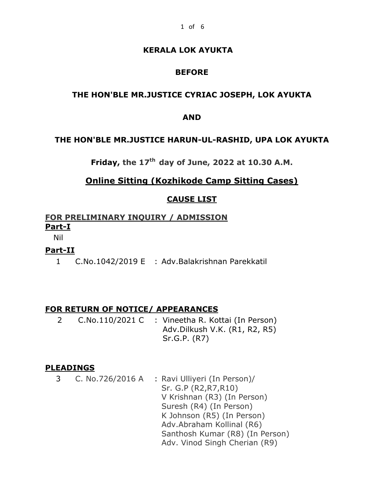# **KERALA LOK AYUKTA**

# **BEFORE**

## **THE HON'BLE MR.JUSTICE CYRIAC JOSEPH, LOK AYUKTA**

### **AND**

### **THE HON'BLE MR.JUSTICE HARUN-UL-RASHID, UPA LOK AYUKTA**

**Friday, the 17th day of June, 2022 at 10.30 A.M.**

# **Online Sitting (Kozhikode Camp Sitting Cases)**

## **CAUSE LIST**

# **FOR PRELIMINARY INQUIRY / ADMISSION Part-I**

Nil

## **Part-II**

1 C.No.1042/2019 E : Adv.Balakrishnan Parekkatil

## **FOR RETURN OF NOTICE/ APPEARANCES**

2 C.No.110/2021 C : Vineetha R. Kottai (In Person) Adv.Dilkush V.K. (R1, R2, R5) Sr.G.P. (R7)

#### **PLEADINGS**

3 C. No.726/2016 A : Ravi Ulliyeri (In Person)/ Sr. G.P (R2,R7,R10) V Krishnan (R3) (In Person) Suresh (R4) (In Person) K Johnson (R5) (In Person) Adv.Abraham Kollinal (R6) Santhosh Kumar (R8) (In Person) Adv. Vinod Singh Cherian (R9)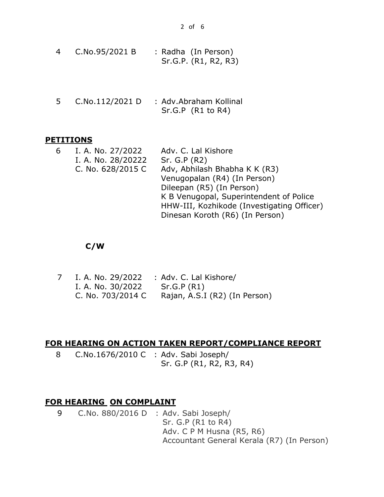| 4 | C.No.95/2021 B | : Radha (In Person)  |  |
|---|----------------|----------------------|--|
|   |                | Sr.G.P. (R1, R2, R3) |  |

5 C.No.112/2021 D : Adv.Abraham Kollinal Sr.G.P (R1 to R4)

## **PETITIONS**

| 6 | I. A. No. 27/2022  | Adv. C. Lal Kishore                        |
|---|--------------------|--------------------------------------------|
|   | I. A. No. 28/20222 | Sr. G.P (R2)                               |
|   | C. No. 628/2015 C  | Adv, Abhilash Bhabha K K (R3)              |
|   |                    | Venugopalan (R4) (In Person)               |
|   |                    | Dileepan (R5) (In Person)                  |
|   |                    | K B Venugopal, Superintendent of Police    |
|   |                    | HHW-III, Kozhikode (Investigating Officer) |
|   |                    | Dinesan Koroth (R6) (In Person)            |
|   |                    |                                            |

# **C/W**

| I. A. No. 29/2022 | : Adv. C. Lal Kishore/        |
|-------------------|-------------------------------|
| I. A. No. 30/2022 | Sr.G.P (R1)                   |
| C. No. 703/2014 C | Rajan, A.S.I (R2) (In Person) |

# **FOR HEARING ON ACTION TAKEN REPORT/COMPLIANCE REPORT**

8 C.No.1676/2010 C : Adv. Sabi Joseph/ Sr. G.P (R1, R2, R3, R4)

# **FOR HEARING ON COMPLAINT**

9 C.No. 880/2016 D : Adv. Sabi Joseph/ Sr. G.P (R1 to R4) Adv. C P M Husna (R5, R6) Accountant General Kerala (R7) (In Person)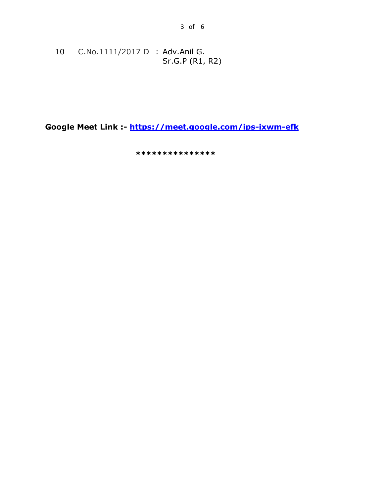10 C.No.1111/2017 D : Adv.Anil G. Sr.G.P (R1, R2)

Google Meet Link :- https://meet.google.com/ips-ixwm-efk

\*\*\*\*\*\*\*\*\*\*\*\*\*\*\*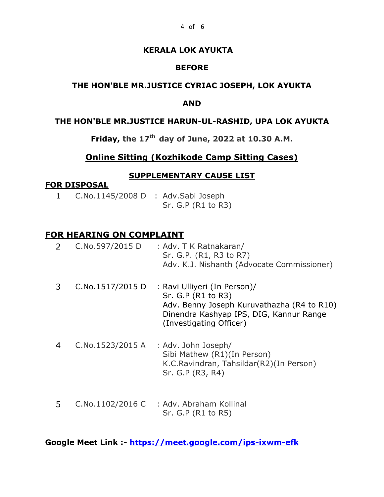## **KERALA LOK AYUKTA**

## **BEFORE**

## **THE HON'BLE MR.JUSTICE CYRIAC JOSEPH, LOK AYUKTA**

### **AND**

### **THE HON'BLE MR.JUSTICE HARUN-UL-RASHID, UPA LOK AYUKTA**

# **Friday, the 17th day of June, 2022 at 10.30 A.M.**

### **Online Sitting (Kozhikode Camp Sitting Cases)**

#### **SUPPLEMENTARY CAUSE LIST**

#### **FOR DISPOSAL**

1 C.No.1145/2008 D : Adv.Sabi Joseph Sr. G.P (R1 to R3)

### **FOR HEARING ON COMPLAINT**

| 2 C.No.597/2015 D | : Adv. T K Ratnakaran/                     |
|-------------------|--------------------------------------------|
|                   | Sr. G.P. (R1, R3 to R7)                    |
|                   | Adv. K.J. Nishanth (Advocate Commissioner) |
|                   |                                            |

- 3 C.No.1517/2015 D : Ravi Ulliyeri (In Person)/ Sr. G.P (R1 to R3) Adv. Benny Joseph Kuruvathazha (R4 to R10) Dinendra Kashyap IPS, DIG, Kannur Range (Investigating Officer)
- 4 C.No.1523/2015 A : Adv. John Joseph/ Sibi Mathew (R1)(In Person) K.C.Ravindran, Tahsildar(R2)(In Person) Sr. G.P (R3, R4)
- 5 C.No.1102/2016 C : Adv. Abraham Kollinal Sr. G.P (R1 to R5)

**Google Meet Link :- <https://meet.google.com/ips-ixwm-efk>**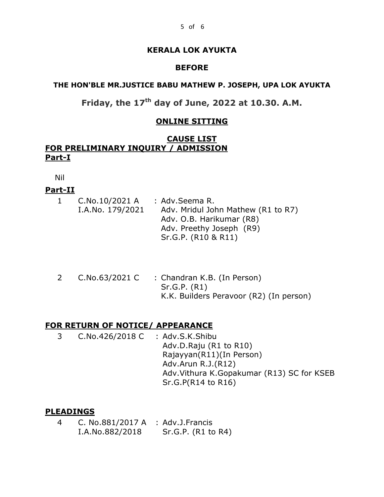# **KERALA LOK AYUKTA**

## **BEFORE**

## **THE HON'BLE MR.JUSTICE BABU MATHEW P. JOSEPH, UPA LOK AYUKTA**

# **Friday, the 17th day of June, 2022 at 10.30. A.M.**

## **ONLINE SITTING**

# **CAUSE LIST FOR PRELIMINARY INQUIRY / ADMISSION Part-I**

Nil

# **Part-II**

| $\mathbf{1}$ | C.No.10/2021 A   | : Adv.Seema R.                     |  |
|--------------|------------------|------------------------------------|--|
|              | I.A.No. 179/2021 | Adv. Mridul John Mathew (R1 to R7) |  |
|              |                  | Adv. O.B. Harikumar (R8)           |  |
|              |                  | Adv. Preethy Joseph (R9)           |  |
|              |                  | Sr.G.P. (R10 & R11)                |  |

2 C.No.63/2021 C : Chandran K.B. (In Person) Sr.G.P. (R1) K.K. Builders Peravoor (R2) (In person)

# **FOR RETURN OF NOTICE/ APPEARANCE**

3 C.No.426/2018 C : Adv.S.K.Shibu Adv.D.Raju (R1 to R10) Rajayyan(R11)(In Person) Adv.Arun R.J.(R12) Adv.Vithura K.Gopakumar (R13) SC for KSEB Sr.G.P(R14 to R16)

# **PLEADINGS**

4 C. No.881/2017 A : Adv.J.Francis I.A.No.882/2018 Sr.G.P. (R1 to R4)